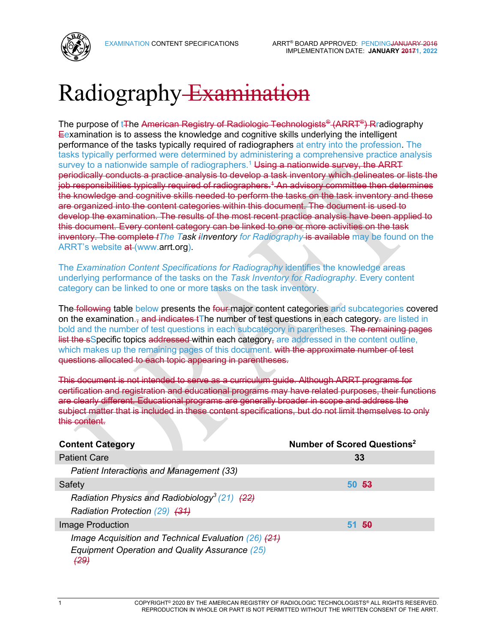

# Radiography Examination

The purpose of t∓he American Registry of Radiologic Technologists® (ARRT®) Rradiography Eexamination is to assess the knowledge and cognitive skills underlying the intelligent performance of the tasks typically required of radiographers at entry into the profession. The tasks typically performed were determined by administering a comprehensive practice analysis survey to a nationwide sample of radiographers.<sup>1</sup> Using a nationwide survey, the ARRT periodically conducts a practice analysis to develop a task inventory which delineates or lists the job responsibilities typically required of radiographers.<sup>4</sup> An advisory committee then determines the knowledge and cognitive skills needed to perform the tasks on the task inventory and these are organized into the content categories within this document. The document is used to develop the examination. The results of the most recent practice analysis have been applied to this document. Every content category can be linked to one or more activities on the task inventory. The complete *tThe Task iInventory for Radiography* is available may be found on the ARRT's website at (www.arrt.org).

The *Examination Content Specifications for Radiography* identifies the knowledge areas underlying performance of the tasks on the *Task Inventory for Radiography*. Every content category can be linked to one or more tasks on the task inventory.

The following table below presents the four major content categories and subcategories covered on the examination.<sub>7</sub> and indicates tThe number of test questions in each category- are listed in bold and the number of test questions in each subcategory in parentheses. The remaining pages list the sSpecific topics addressed within each category, are addressed in the content outline, which makes up the remaining pages of this document. with the approximate number of test questions allocated to each topic appearing in parentheses.

This document is not intended to serve as a curriculum guide. Although ARRT programs for certification and registration and educational programs may have related purposes, their functions are clearly different. Educational programs are generally broader in scope and address the subject matter that is included in these content specifications, but do not limit themselves to only this content.

| <b>Content Category</b>                                   | Number of Scored Questions <sup>2</sup> |
|-----------------------------------------------------------|-----------------------------------------|
| <b>Patient Care</b>                                       | 33                                      |
| Patient Interactions and Management (33)                  |                                         |
| Safety                                                    | 50 53                                   |
| Radiation Physics and Radiobiology <sup>3</sup> (21) (22) |                                         |
| Radiation Protection (29) (31)                            |                                         |
| Image Production                                          | 51, 50                                  |
| Image Acquisition and Technical Evaluation (26) (21)      |                                         |
| Equipment Operation and Quality Assurance (25)<br>(29)    |                                         |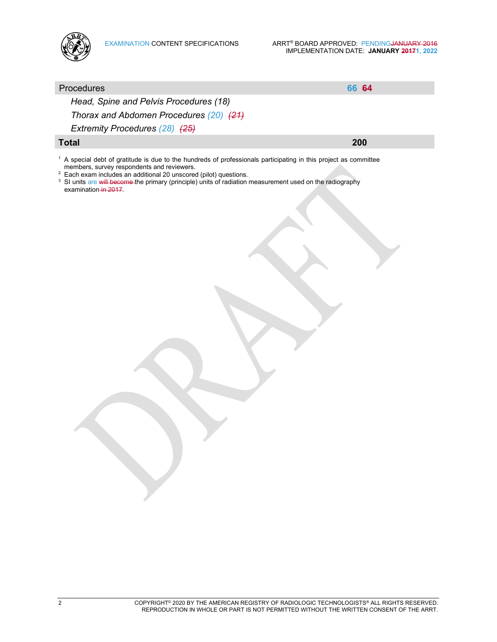

# Procedures **66 64** *Head, Spine and Pelvis Procedures (18) Thorax and Abdomen Procedures (20) (21) Extremity Procedures (28) (25)* **Total 200** <sup>1</sup> A special debt of gratitude is due to the hundreds of professionals participating in this project as committee members, survey respondents and reviewers. <sup>2</sup> Each exam includes an additional 20 unscored (pilot) questions. <sup>3</sup> SI units are will become the primary (principle) units of radiation measurement used on the radiography examination in 2017.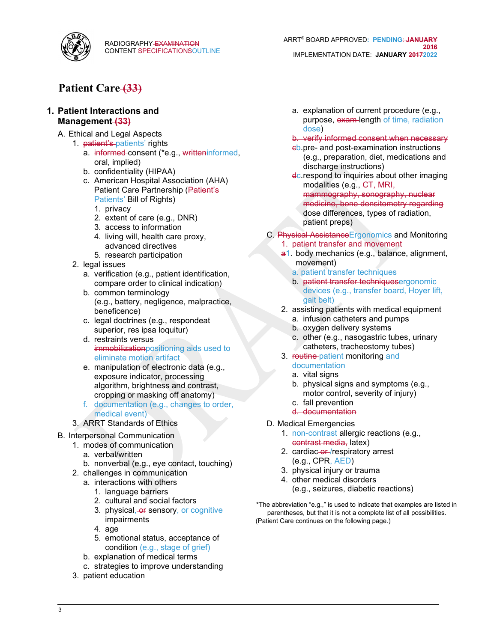

# **Patient Care (33)**

### **1. Patient Interactions and Management (33)**

- A. Ethical and Legal Aspects
	- 1. patient's patients' rights
		- a. informed consent (\*e.g., writteninformed, oral, implied)
		- b. confidentiality (HIPAA)
		- c. American Hospital Association (AHA) Patient Care Partnership (Patient's Patients' Bill of Rights)
			- 1. privacy
			- 2. extent of care (e.g., DNR)
			- 3. access to information
			- 4. living will, health care proxy, advanced directives
			- 5. research participation
	- 2. legal issues
		- a. verification (e.g., patient identification, compare order to clinical indication)
		- b. common terminology (e.g., battery, negligence, malpractice, beneficence)
		- c. legal doctrines (e.g., respondeat superior, res ipsa loquitur)
		- d. restraints versus immobilizationpositioning aids used to eliminate motion artifact
		- e. manipulation of electronic data (e.g., exposure indicator, processing algorithm, brightness and contrast, cropping or masking off anatomy)
		- f. documentation (e.g., changes to order, medical event)
	- 3. ARRT Standards of Ethics
- B. Interpersonal Communication
	- 1. modes of communication
		- a. verbal/written
		- b. nonverbal (e.g., eye contact, touching)
	- 2. challenges in communication
		- a. interactions with others
			- 1. language barriers
			- 2. cultural and social factors
			- 3. physical, or sensory, or cognitive impairments
			- 4. age
			- 5. emotional status, acceptance of condition (e.g., stage of grief)
		- b. explanation of medical terms
		- c. strategies to improve understanding
	- 3. patient education

a. explanation of current procedure (e.g., purpose, exam-length of time, radiation dose)

#### b. verify informed consent when necessary

- cb. pre- and post-examination instructions (e.g., preparation, diet, medications and discharge instructions)
- **dc. respond to inquiries about other imaging** modalities (e.g., CT, MRI, mammography, sonography, nuclear medicine, bone densitometry regarding dose differences, types of radiation, patient preps)
- C. Physical AssistanceErgonomics and Monitoring 1. patient transfer and movement
	- a1. body mechanics (e.g., balance, alignment, movement)
		- a. patient transfer techniques
		- b. patient transfer techniquesergonomic devices (e.g., transfer board, Hoyer lift, gait belt)
	- 2. assisting patients with medical equipment
		- a. infusion catheters and pumps
		- b. oxygen delivery systems
		- c. other (e.g., nasogastric tubes, urinary catheters, tracheostomy tubes)
	- 3. routine-patient monitoring and documentation
		- a. vital signs
		- b. physical signs and symptoms (e.g., motor control, severity of injury)
		- c. fall prevention d. documentation
- D. Medical Emergencies
	- 1. non-contrast allergic reactions (e.g., contrast media, latex)
	- 2. cardiac-or-/respiratory arrest (e.g., CPR, AED)
	- 3. physical injury or trauma
	- 4. other medical disorders
		- (e.g., seizures, diabetic reactions)

\*The abbreviation "e.g.," is used to indicate that examples are listed in parentheses, but that it is not a complete list of all possibilities. (Patient Care continues on the following page.)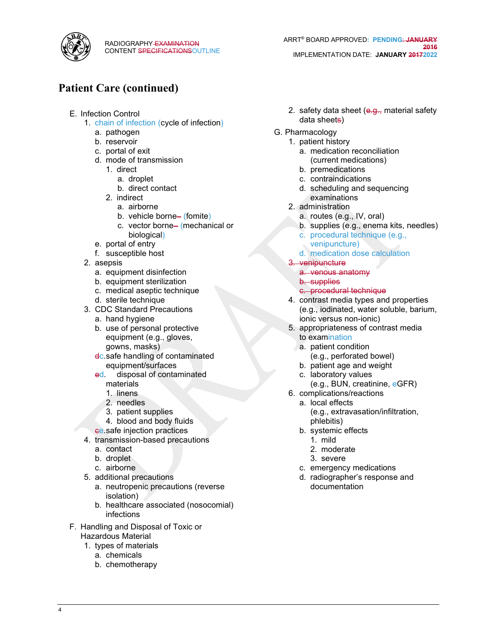

- E. Infection Control
	- 1. chain of infection (cycle of infection)
		- a. pathogen
		- b. reservoir
		- c. portal of exit
		- d. mode of transmission
			- 1. direct
				- a. droplet
				- b. direct contact
			- 2. indirect
				- a. airborne
				- b. vehicle borne– (fomite)
				- c. vector borne– (mechanical or biological)
		- e. portal of entry
		- f. susceptible host
	- 2. asepsis
		- a. equipment disinfection
		- b. equipment sterilization
		- c. medical aseptic technique
		- d. sterile technique
	- 3. CDC Standard Precautions
		- a. hand hygiene
		- b. use of personal protective equipment (e.g., gloves, gowns, masks)
		- dc. safe handling of contaminated equipment/surfaces
		- ed. disposal of contaminated materials
			- 1. linens
			- 2. needles
			- 3. patient supplies
			- 4. blood and body fluids
		- ce. safe injection practices
	- 4. transmission-based precautions
		- a. contact
		- b. droplet
		- c. airborne
	- 5. additional precautions
		- a. neutropenic precautions (reverse isolation)
		- b. healthcare associated (nosocomial) infections
- F. Handling and Disposal of Toxic or Hazardous Material
	- 1. types of materials
		- a. chemicals
		- b. chemotherapy
- ARRT® BOARD APPROVED**: PENDING**: **JANUARY 2016** IMPLEMENTATION DATE: **JANUARY 20172022**
- 2. safety data sheet (e.g., material safety data sheets)
- G. Pharmacology
	- 1. patient history
		- a. medication reconciliation (current medications)
		- b. premedications
		- c. contraindications
		- d. scheduling and sequencing examinations
	- 2. administration
		- a. routes (e.g., IV, oral)
		- b. supplies (e.g., enema kits, needles)
		- c. procedural technique (e.g.,
		- venipuncture)
		- d. medication dose calculation
	- 3. venipuncture
		- a. venous anatomy
		- b. supplies
		- c. procedural technique
	- 4. contrast media types and properties (e.g., iodinated, water soluble, barium, ionic versus non-ionic)
	- 5. appropriateness of contrast media to examination
		- a. patient condition (e.g., perforated bowel)
		- b. patient age and weight
	- c. laboratory values (e.g., BUN, creatinine, eGFR)
	- 6. complications/reactions
		- a. local effects (e.g., extravasation/infiltration, phlebitis)
		- b. systemic effects
			- 1. mild
			- 2. moderate
			- 3. severe
		- c. emergency medications
		- d. radiographer's response and documentation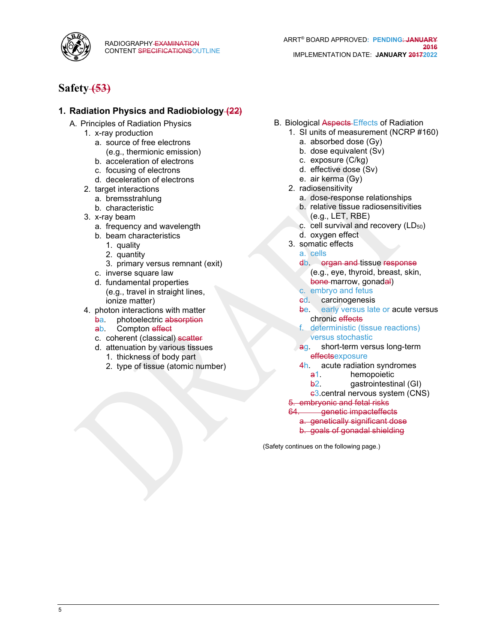

# **Safety (53)**

### **1. Radiation Physics and Radiobiology (22)**

- A. Principles of Radiation Physics
	- 1. x-ray production
		- a. source of free electrons (e.g., thermionic emission)
		- b. acceleration of electrons
		- c. focusing of electrons
		- d. deceleration of electrons
	- 2. target interactions
		- a. bremsstrahlung
		- b. characteristic
	- 3. x-ray beam
		- a. frequency and wavelength
		- b. beam characteristics
			- 1. quality
			- 2. quantity
			- 3. primary versus remnant (exit)
		- c. inverse square law
		- d. fundamental properties (e.g., travel in straight lines, ionize matter)
	- 4. photon interactions with matter
		- ba. photoelectric absorption
		- ab. Compton effect
		- c. coherent (classical) scatter
		- d. attenuation by various tissues
			- 1. thickness of body part
			- 2. type of tissue (atomic number)
- B. Biological Aspects Effects of Radiation
	- 1. SI units of measurement (NCRP #160)
		- a. absorbed dose (Gy)
		- b. dose equivalent (Sv)
		- c. exposure (C/kg)
		- d. effective dose (Sv)
		- e. air kerma (Gy)
	- 2. radiosensitivity
		- a. dose-response relationships
		- b. relative tissue radiosensitivities (e.g., LET, RBE)
		- c. cell survival and recovery (LD<sub>50</sub>)
		- d. oxygen effect
	- 3. somatic effects
		- a. cells
		- db. organ and tissue response (e.g., eye, thyroid, breast, skin,
		- bone marrow, gonadal)
		- c. embryo and fetus
		- ed. carcinogenesis
		- be. early versus late or acute versus chronic effects
		- f. deterministic (tissue reactions) versus stochastic
		- ag. short-term versus long-term **effectsexposure**
		- 4h. acute radiation syndromes
			- a1. hemopoietic
		- b2. gastrointestinal (GI)
		- c3. central nervous system (CNS)

# 5. embryonic and fetal risks

- 64. genetic impacteffects
	- a. genetically significant dose
	- b. goals of gonadal shielding

(Safety continues on the following page.)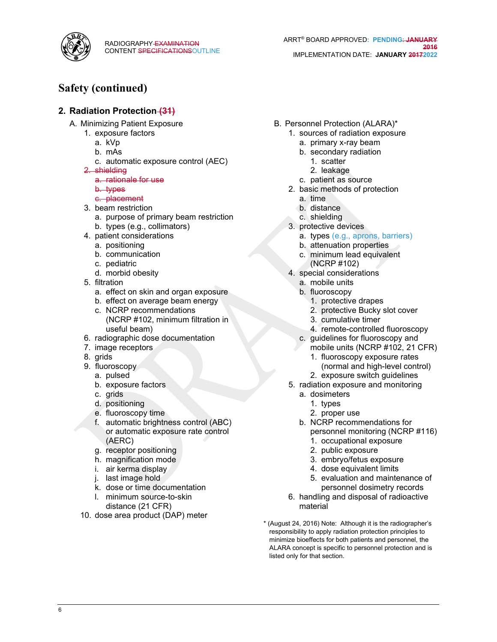

# **Safety (continued)**

### **2. Radiation Protection (31)**

- A. Minimizing Patient Exposure
	- 1. exposure factors
		- a. kVp
		- b. mAs
		- c. automatic exposure control (AEC)
		- 2. shielding
			- a. rationale for use
			- b. types
		- c. placement
		- 3. beam restriction
			- a. purpose of primary beam restriction
			- b. types (e.g., collimators)
		- 4. patient considerations
			- a. positioning
			- b. communication
			- c. pediatric
			- d. morbid obesity
		- 5. filtration
			- a. effect on skin and organ exposure
			- b. effect on average beam energy c. NCRP recommendations (NCRP #102, minimum filtration in useful beam)
		- 6. radiographic dose documentation
		- 7. image receptors
		- 8. grids
		- 9. fluoroscopy
			- a. pulsed
			- b. exposure factors
			- c. grids
			- d. positioning
			- e. fluoroscopy time
			- f. automatic brightness control (ABC) or automatic exposure rate control (AERC)
			- g. receptor positioning
			- h. magnification mode
			- i. air kerma display
			- j. last image hold
			- k. dose or time documentation
			- l. minimum source-to-skin distance (21 CFR)
	- 10. dose area product (DAP) meter
- B. Personnel Protection (ALARA)\*
	- 1. sources of radiation exposure
		- a. primary x-ray beam
		- b. secondary radiation
			- 1. scatter
			- 2. leakage
		- c. patient as source
	- 2. basic methods of protection
		- a. time
		- b. distance
		- c. shielding
	- 3. protective devices
		- a. types (e.g., aprons, barriers)
		- b. attenuation properties
		- c. minimum lead equivalent (NCRP #102)
	- 4. special considerations
		- a. mobile units
		- b. fluoroscopy
			- 1. protective drapes
			- 2. protective Bucky slot cover
			- 3. cumulative timer
			- 4. remote-controlled fluoroscopy
		- c. guidelines for fluoroscopy and
			- mobile units (NCRP #102, 21 CFR)
			- 1. fluoroscopy exposure rates (normal and high-level control) 2. exposure switch guidelines
	- 5. radiation exposure and monitoring
		- a. dosimeters
			- 1. types
			- 2. proper use
		- b. NCRP recommendations for personnel monitoring (NCRP #116)
			- 1. occupational exposure
			- 2. public exposure
			- 3. embryo/fetus exposure
			- 4. dose equivalent limits
			- 5. evaluation and maintenance of personnel dosimetry records
	- 6. handling and disposal of radioactive material
- \* (August 24, 2016) Note: Although it is the radiographer's responsibility to apply radiation protection principles to minimize bioeffects for both patients and personnel, the ALARA concept is specific to personnel protection and is listed only for that section.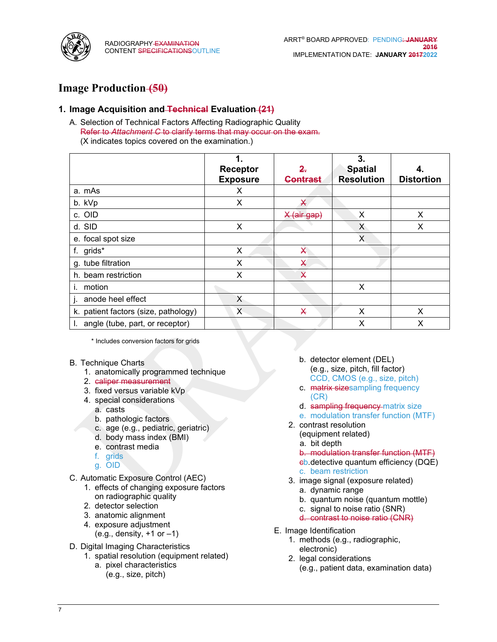

# **Image Production (50)**

### **1. Image Acquisition and Technical Evaluation (21)**

A. Selection of Technical Factors Affecting Radiographic Quality Refer to *Attachment C* to clarify terms that may occur on the exam. (X indicates topics covered on the examination.)

|                                      | 1.<br><b>Receptor</b><br><b>Exposure</b> | 2.<br>Contrast            | 3.<br><b>Spatial</b><br><b>Resolution</b> | 4.<br><b>Distortion</b> |
|--------------------------------------|------------------------------------------|---------------------------|-------------------------------------------|-------------------------|
| a. mAs                               | Х                                        |                           |                                           |                         |
| b. kVp                               | X                                        | X                         |                                           |                         |
| c. OID                               |                                          | X (air gap)               | X                                         | X                       |
| d. SID                               | X                                        |                           | X                                         | X                       |
| e. focal spot size                   |                                          |                           | X                                         |                         |
| f. grids*                            | X                                        | $\boldsymbol{\mathsf{X}}$ |                                           |                         |
| g. tube filtration                   | X                                        | X                         |                                           |                         |
| h. beam restriction                  | Х                                        | $\overline{\mathsf{X}}$   |                                           |                         |
| motion                               |                                          |                           | X                                         |                         |
| anode heel effect                    | X                                        |                           |                                           |                         |
| k. patient factors (size, pathology) | X                                        | X                         | X                                         | X                       |
| angle (tube, part, or receptor)      |                                          |                           | Х                                         | X                       |

\* Includes conversion factors for grids

- B. Technique Charts
	- 1. anatomically programmed technique
	- 2. caliper measurement
	- 3. fixed versus variable kVp
	- 4. special considerations
		- a. casts
		- b. pathologic factors
		- c. age (e.g., pediatric, geriatric)
		- d. body mass index (BMI)
		- e. contrast media
		- f. grids
		- g. OID
- C. Automatic Exposure Control (AEC)
	- 1. effects of changing exposure factors on radiographic quality
	- 2. detector selection
	- 3. anatomic alignment
	- 4. exposure adjustment
		- $(e.g., density, +1 or -1)$
- D. Digital Imaging Characteristics
	- 1. spatial resolution (equipment related)
		- a. pixel characteristics (e.g., size, pitch)
- b. detector element (DEL) (e.g., size, pitch, fill factor) CCD, CMOS (e.g., size, pitch)
- c. matrix sizesampling frequency (CR)
- d. sampling frequency-matrix size
- e. modulation transfer function (MTF)
- 2. contrast resolution
	- (equipment related)
	- a. bit depth
	- b. modulation transfer function (MTF)
	- cb. detective quantum efficiency (DQE) c. beam restriction
- 3. image signal (exposure related)
	- a. dynamic range
	- b. quantum noise (quantum mottle)
	- c. signal to noise ratio (SNR)
	- d. contrast to noise ratio (CNR)
- E. Image Identification
	- 1. methods (e.g., radiographic, electronic)
	- 2. legal considerations (e.g., patient data, examination data)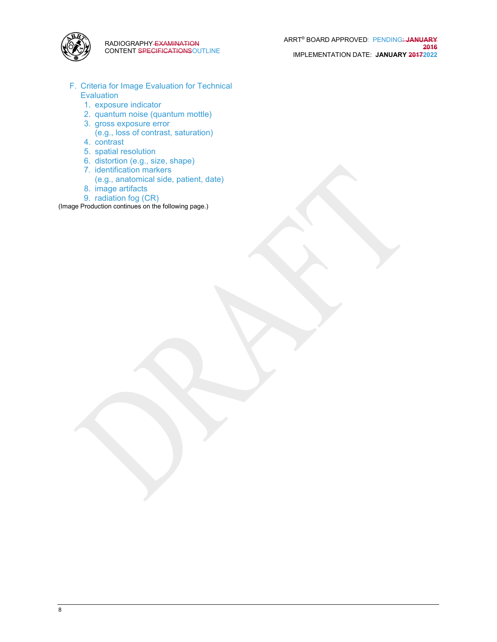

- F. Criteria for Image Evaluation for Technical Evaluation
	- 1. exposure indicator
	- 2. quantum noise (quantum mottle)
	- 3. gross exposure error (e.g., loss of contrast, saturation) 4. contrast
	-
	- 5. spatial resolution
	- 6. distortion (e.g., size, shape)
	- 7. identification markers (e.g., anatomical side, patient, date)
	- 8. image artifacts
	- 9. radiation fog (CR)

(Image Production continues on the following page.)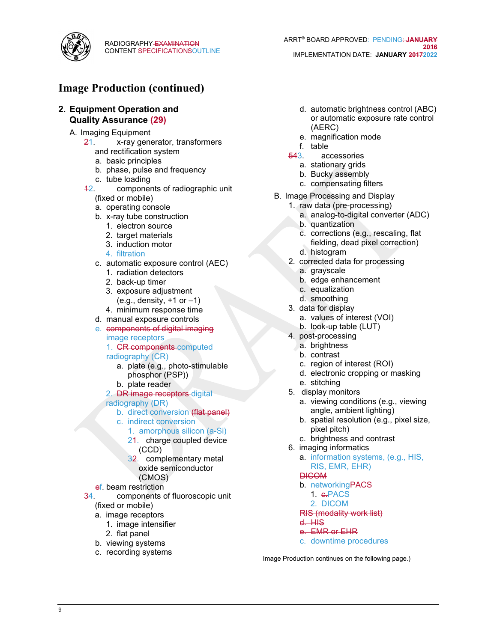

# **Image Production (continued)**

### **2. Equipment Operation and Quality Assurance (29)**

- A. Imaging Equipment
	- 21. x-ray generator, transformers and rectification system
		- a. basic principles
		- b. phase, pulse and frequency
		- c. tube loading
	- 12. components of radiographic unit
		- (fixed or mobile)
		- a. operating console
		- b. x-ray tube construction
			- 1. electron source
			- 2. target materials
			- 3. induction motor
			- 4. filtration
		- c. automatic exposure control (AEC)
			- 1. radiation detectors
			- 2. back-up timer
			- 3. exposure adjustment  $(e.g., density, +1 or -1)$
			- 4. minimum response time
		- d. manual exposure controls
		- e. components of digital imaging image receptors
			- 1. **CR components** computed
			- radiography (CR)
				- a. plate (e.g., photo-stimulable phosphor (PSP))
				- b. plate reader
			- 2. DR image receptors digital
			- radiography (DR)
				- b. direct conversion (flat panel)
				- c. indirect conversion
					- 1. amorphous silicon (a-Si)
					- 24. charge coupled device (CCD)
					- 32. complementary metal oxide semiconductor (CMOS)
		- ef. beam restriction
	- 34. components of fluoroscopic unit
		- (fixed or mobile)
		- a. image receptors
			- 1. image intensifier
			- 2. flat panel
		- b. viewing systems
		- c. recording systems
- d. automatic brightness control (ABC) or automatic exposure rate control (AERC)
- e. magnification mode
- f. table<br> $\frac{543}{100}$ .
	- accessories
	- a. stationary grids
	- b. Bucky assembly
	- c. compensating filters
- B. Image Processing and Display
	- 1. raw data (pre-processing)
		- a. analog-to-digital converter (ADC)
		- b. quantization
		- c. corrections (e.g., rescaling, flat fielding, dead pixel correction)
		- d. histogram
	- 2. corrected data for processing
		- a. grayscale
		- b. edge enhancement
		- c. equalization
		- d. smoothing
	- 3. data for display
		- a. values of interest (VOI)
		- b. look-up table (LUT)
	- 4. post-processing
		- a. brightness
		- b. contrast
		- c. region of interest (ROI)
		- d. electronic cropping or masking
		- e. stitching
	- 5. display monitors
		- a. viewing conditions (e.g., viewing angle, ambient lighting)
		- b. spatial resolution (e.g., pixel size, pixel pitch)
		- c. brightness and contrast
	- 6. imaging informatics
		- a. information systems, (e.g., HIS, RIS, EMR, EHR)
		- **DICOM**
		- b. networkingPACS
			- 1. e-PACS
			- 2. DICOM

#### RIS (modality work list)

- d. HIS
- e. EMR or EHR
- c. downtime procedures

Image Production continues on the following page.)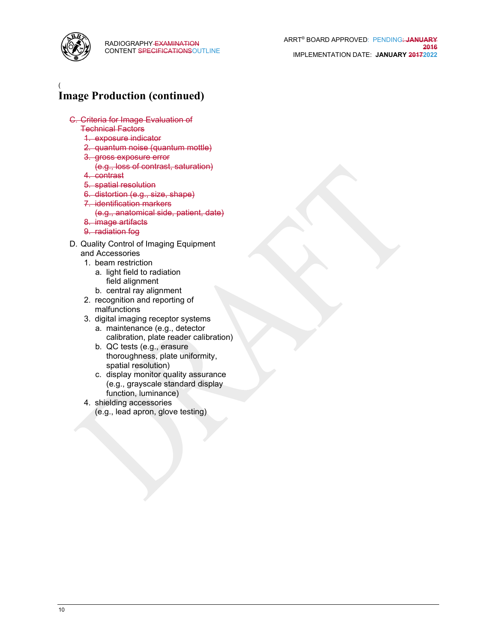

### ( **Image Production (continued)**

- C. Criteria for Image Evaluation of
	- Technical Factors
	- 1. exposure indicator
	- 2. quantum noise (quantum mottle)
	- 3. gross exposure error
		- (e.g., loss of contrast, saturation)
	- 4. contrast
	- 5. spatial resolution
	- 6. distortion (e.g., size, shape)
	- 7. identification markers
		- (e.g., anatomical side, patient, date)
	- 8. image artifacts
	- 9. radiation fog
- D. Quality Control of Imaging Equipment and Accessories
	- 1. beam restriction
		- a. light field to radiation field alignment
		- b. central ray alignment
	- 2. recognition and reporting of malfunctions
	- 3. digital imaging receptor systems
		- a. maintenance (e.g., detector calibration, plate reader calibration)
		- b. QC tests (e.g., erasure thoroughness, plate uniformity, spatial resolution)
		- c. display monitor quality assurance (e.g., grayscale standard display function, luminance)
	- 4. shielding accessories
		- (e.g., lead apron, glove testing)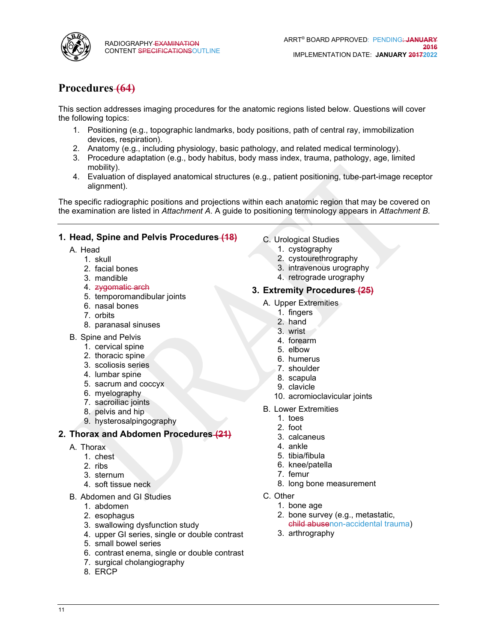

# **Procedures (64)**

This section addresses imaging procedures for the anatomic regions listed below. Questions will cover the following topics:

- 1. Positioning (e.g., topographic landmarks, body positions, path of central ray, immobilization devices, respiration).
- 2. Anatomy (e.g., including physiology, basic pathology, and related medical terminology).
- 3. Procedure adaptation (e.g., body habitus, body mass index, trauma, pathology, age, limited mobility).
- 4. Evaluation of displayed anatomical structures (e.g., patient positioning, tube-part-image receptor alignment).

The specific radiographic positions and projections within each anatomic region that may be covered on the examination are listed in *Attachment A*. A guide to positioning terminology appears in *Attachment B*.

### **1. Head, Spine and Pelvis Procedures (18)**

- A. Head
	- 1. skull
	- 2. facial bones
	- 3. mandible
	- 4. zygomatic arch
	- 5. temporomandibular joints
	- 6. nasal bones
	- 7. orbits
	- 8. paranasal sinuses
- B. Spine and Pelvis
	- 1. cervical spine
	- 2. thoracic spine
	- 3. scoliosis series
	- 4. lumbar spine
	- 5. sacrum and coccyx
	- 6. myelography
	- 7. sacroiliac joints
	- 8. pelvis and hip
	- 9. hysterosalpingography

### **2. Thorax and Abdomen Procedures (21)**

- A. Thorax
	- 1. chest
	- 2. ribs
	- 3. sternum
	- 4. soft tissue neck
- B. Abdomen and GI Studies
	- 1. abdomen
	- 2. esophagus
	- 3. swallowing dysfunction study
	- 4. upper GI series, single or double contrast
	- 5. small bowel series
	- 6. contrast enema, single or double contrast
	- 7. surgical cholangiography
	- 8. ERCP
- C. Urological Studies
	- 1. cystography
	- 2. cystourethrography
	- 3. intravenous urography
	- 4. retrograde urography

### **3. Extremity Procedures (25)**

- A. Upper Extremities
	- 1. fingers
	- 2. hand
	- 3. wrist
	- 4. forearm
	- 5. elbow
	- 6. humerus
	- 7. shoulder
	- 8. scapula
	- 9. clavicle
	- 10. acromioclavicular joints
- B. Lower Extremities
	- 1. toes
	- 2. foot
	- 3. calcaneus
	- 4. ankle
	- 5. tibia/fibula
	- 6. knee/patella
	- 7. femur
	- 8. long bone measurement
- C. Other
	- 1. bone age
	- 2. bone survey (e.g., metastatic, child abusenon-accidental trauma)
	- 3. arthrography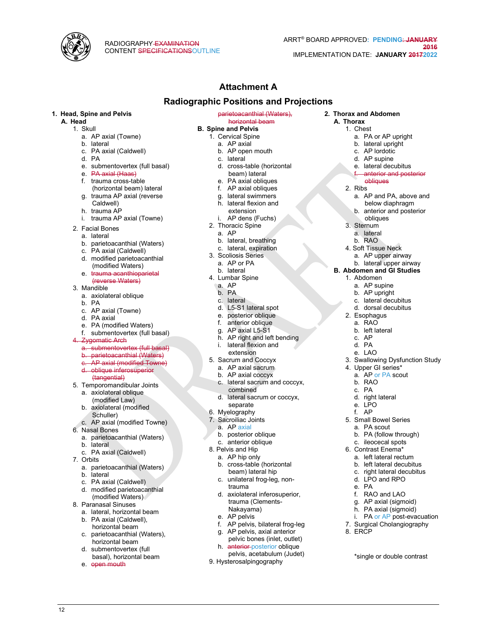

**2. Thorax and Abdomen A. Thorax** 1. Chest

2. Ribs

2. Esophagus a. RAO b. left lateral c. AP d. PA e. LAO

4. Upper GI series\* a. AP or PA scout

5. Small Bowel Series a. PA scout b. PA (follow through) c. ileocecal spots 6. Contrast Enema\* a. left lateral rectum b. left lateral decubitus c. right lateral decubitus d. LPO and RPO

f. RAO and LAO g. AP axial (sigmoid) h. PA axial (sigmoid) i. PA or AP post-evacuation 7. Surgical Cholangiography

\*single or double contrast

b. RAO c. PA d. right lateral e. LPO f. AP

e. PA

8. ERCP

a. PA or AP upright b. lateral upright c. AP lordotic d. AP supine e. lateral decubitus anterior and posterior

obliques

a. AP and PA, above and below diaphragm b. anterior and posterior obliques 3. Sternum a. lateral b. RAO 4. Soft Tissue Neck a. AP upper airway b. lateral upper airway **B. Abdomen and GI Studies** 1. Abdomen a. AP supine b. AP upright c. lateral decubitus d. dorsal decubitus

3. Swallowing Dysfunction Study

# **Attachment A**

### **Radiographic Positions and Projections**

#### **1. Head, Spine and Pelvis**

**A. Head**

- 1. Skull
	- a. AP axial (Towne) b. lateral
	- c. PA axial (Caldwell)
	- d. PA
	- e. submentovertex (full basal)
	- e. PA axial (Haas)
	- f. trauma cross-table
	- (horizontal beam) lateral g. trauma AP axial (reverse
	- Caldwell)
	- h. trauma AP
	- i. trauma AP axial (Towne)
- 2. Facial Bones
- a. lateral
- b. parietoacanthial (Waters)
- c. PA axial (Caldwell)
- d. modified parietoacanthial (modified Waters)
- e. trauma acanthioparietal (reverse Waters)
- 3. Mandible
	- a. axiolateral oblique
	- b. PA
	- c. AP axial (Towne)
	- d. PA axial
	- e. PA (modified Waters)
	- f. submentovertex (full basal)
	- **Zygomatic Arch**
	- a. submentovertex (full basal)
	- b. parietoacanthial (Waters)
	- c. AP axial (modified Towne) d. oblique inferosuperior
	- (tangential)
- 5. Temporomandibular Joints
- a. axiolateral oblique
	- (modified Law)
	- b. axiolateral (modified
	- Schuller)
- c. AP axial (modified Towne) 6. Nasal Bones
	- a. parietoacanthial (Waters)
	- b. lateral
	- c. PA axial (Caldwell)
- 7. Orbits
	- a. parietoacanthial (Waters)
	- b. lateral
	- c. PA axial (Caldwell)
	- d. modified parietoacanthial (modified Waters)
- 8. Paranasal Sinuses
	- a. lateral, horizontal beam
	- b. PA axial (Caldwell), horizontal beam
	- c. parietoacanthial (Waters), horizontal beam
	- d. submentovertex (full basal), horizontal beam
	- e. open mouth

12

- parietoacanthial (Waters),
- horizontal beam **B. Spine and Pelvis**
	- 1. Cervical Spine
	- a. AP axial
	- b. AP open mouth
	- c. lateral
	- d. cross-table (horizontal
	- beam) lateral
	- e. PA axial obliques f. AP axial obliques
	-
	- g. lateral swimmers h. lateral flexion and
	- extension
	- AP dens (Fuchs)
	- 2. Thoracic Spine
		- a. AP
		- b. lateral, breathing
		- c. lateral, expiration
	- 3. Scoliosis Series
		- a. AP or PA
		- b. lateral
	- 4. Lumbar Spine
	- a. AP
	- b. PA
	- c. lateral
	- d. L5-S1 lateral spot
	- e. posterior oblique
	- f. anterior oblique
	- g. AP axial L5-S1
	- h. AP right and left bending
	- i. lateral flexion and
	- extension 5. Sacrum and Coccyx
	- a. AP axial sacrum
	- b. AP axial coccyx
	- c. lateral sacrum and coccyx,
	- combined d. lateral sacrum or coccyx,
	- separate
	- 6. Myelography
	- 7. Sacroiliac Joints
	- a. AP axial
	- b. posterior oblique
	- c. anterior oblique
	- 8. Pelvis and Hip
		- a. AP hip only

trauma

9. Hysterosalpingography

b. cross-table (horizontal beam) lateral hip c. unilateral frog-leg, non-

d. axiolateral inferosuperior, trauma (Clements-Nakayama) e. AP pelvis

f. AP pelvis, bilateral frog-leg g. AP pelvis, axial anterior pelvic bones (inlet, outlet) h. anterior posterior oblique pelvis, acetabulum (Judet)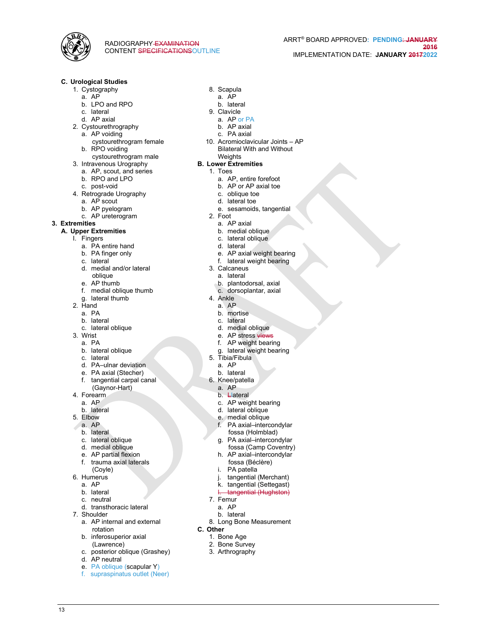

#### **C. Urological Studies**

- 1. Cystography
	- a. AP b. LPO and RPO
	- c. lateral
	-
- d. AP axial
- 2. Cystourethrography
	- a. AP voiding cystourethrogram female
	- b. RPO voiding
- cystourethrogram male 3. Intravenous Urography
- a. AP, scout, and series
	- b. RPO and LPO
	- c. post-void
- 4. Retrograde Urography
- a. AP scout
- b. AP pyelogram
- c. AP ureterogram
- **3. Extremities**

#### **A. Upper Extremities**

- I. Fingers
	- a. PA entire hand
	- b. PA finger only
	- c. lateral
	- d. medial and/or lateral oblique
	- e. AP thumb
	- f. medial oblique thumb
	- g. lateral thumb
- 2. Hand
	- a. PA
	- b. lateral
	- c. lateral oblique
- 3. Wrist
	- a. PA
	- b. lateral oblique
	- c. lateral
	- d. PA–ulnar deviation
	- e. PA axial (Stecher)
	- f. tangential carpal canal
	- (Gaynor-Hart)
- 4. Forearm
	- a. AP
	- b. lateral
- 5. Elbow
	- a. AP
	- b. lateral
	- c. lateral oblique
	- d. medial oblique
	- e. AP partial flexion
	- f. trauma axial laterals
	- (Coyle)
- 6. Humerus
	- a. AP
	- b. lateral c. neutral

13

- 
- d. transthoracic lateral 7. Shoulder
	- a. AP internal and external rotation
	- b. inferosuperior axial
	- (Lawrence)
	- c. posterior oblique (Grashey)
	- d. AP neutral
	- e. PA oblique (scapular Y)
	- f. supraspinatus outlet (Neer)
- 8. Scapula
- a. AP
- b. lateral 9. Clavicle
	-
	- a. AP or PA b. AP axial
	- c. PA axial
- 10. Acromioclavicular Joints AP
- Bilateral With and Without **Weights**
- **B. Lower Extremities**
	- 1. Toes
		- a. AP, entire forefoot
		- b. AP or AP axial toe
		- c. oblique toe
		- d. lateral toe
		- e. sesamoids, tangential
	- 2. Foot
	- a. AP axial
	- b. medial oblique
	- c. lateral oblique
	- d. lateral
	- e. AP axial weight bearing
	- f. lateral weight bearing
	- 3. Calcaneus
	- a. lateral
	- b. plantodorsal, axial
	- c. dorsoplantar, axial
	- 4. Ankle
		- a. AP
		- b. mortise
		- c. lateral
		- d. medial oblique
		- e. AP stress views
		- f. AP weight bearing
	- g. lateral weight bearing

c. AP weight bearing d. lateral oblique e. medial oblique f. PA axial–intercondylar fossa (Holmblad) g. PA axial–intercondylar fossa (Camp Coventry) h. AP axial–intercondylar fossa (Béclère) i. PA patella

j. tangential (Merchant) k. tangential (Settegast) tangential (Hughston)

8. Long Bone Measurement

5. Tibia/Fibula a. AP b. lateral

6. Knee/patella a. AP b. **Llateral** 

7. Femur a. AP b. lateral

1. Bone Age 2. Bone Survey 3. Arthrography

**C. Other**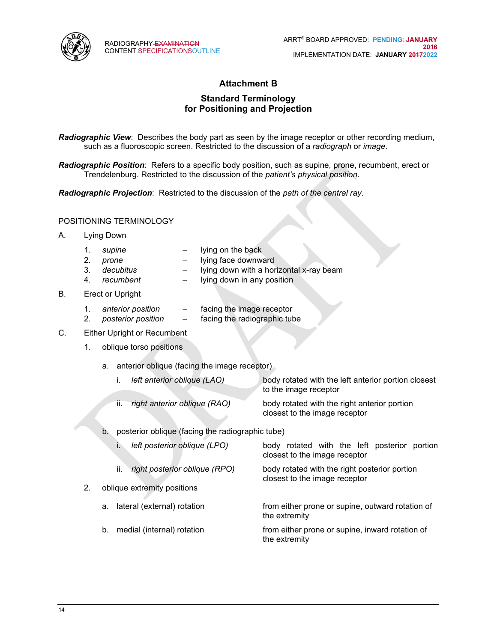

### **Attachment B**

### **Standard Terminology for Positioning and Projection**

*Radiographic View*: Describes the body part as seen by the image receptor or other recording medium, such as a fluoroscopic screen. Restricted to the discussion of a *radiograph* or *image*.

*Radiographic Position*: Refers to a specific body position, such as supine, prone, recumbent, erect or Trendelenburg. Restricted to the discussion of the *patient's physical position*.

*Radiographic Projection*: Restricted to the discussion of the *path of the central ray*.

### POSITIONING TERMINOLOGY

- A. Lying Down
	- 1. *supine* − lying on the back
	- 2. *prone* − lying face downward
	- 3. *decubitus* − lying down with a horizontal x-ray beam
	- 4. *recumbent* − lying down in any position
- B. Erect or Upright
	- 1. *anterior position* − facing the image receptor
	- 2. *posterior position* − facing the radiographic tube
- C. Either Upright or Recumbent
	- 1. oblique torso positions
		- a. anterior oblique (facing the image receptor)

| left anterior oblique (LAO) |                                  | body rotated with the left anterior portion closest<br>to the image receptor  |
|-----------------------------|----------------------------------|-------------------------------------------------------------------------------|
|                             | ii. right anterior oblique (RAO) | body rotated with the right anterior portion<br>closest to the image receptor |

b. posterior oblique (facing the radiographic tube)

| left posterior oblique (LPO)         | body rotated with the left posterior portion<br>closest to the image receptor  |
|--------------------------------------|--------------------------------------------------------------------------------|
| right posterior oblique (RPO)<br>ii. | body rotated with the right posterior portion<br>closest to the image receptor |
| oblique extremity positions          |                                                                                |
| lateral (external) rotation<br>а.    | from either prone or supine, outward rotation of<br>the extremity              |
|                                      |                                                                                |

b. medial (internal) rotation from either prone or supine, inward rotation of the extremity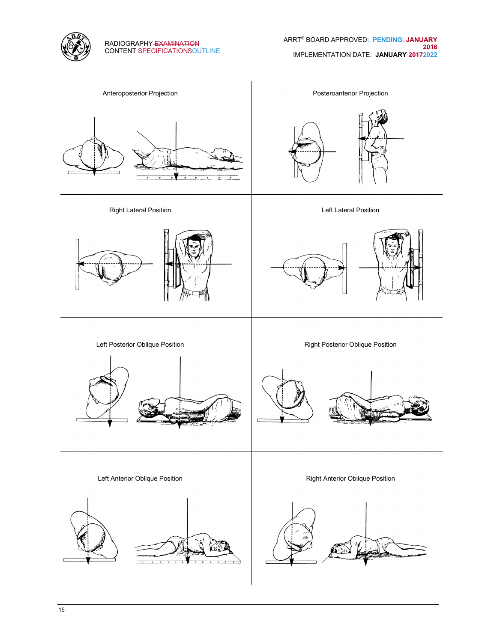